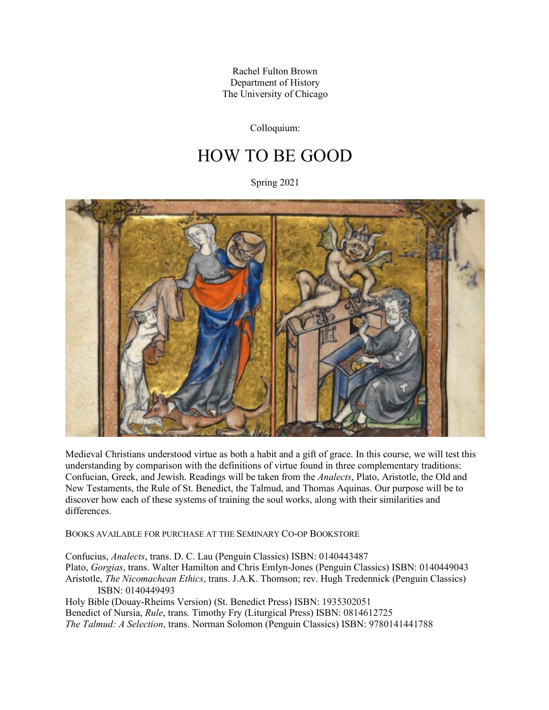Rachel Fulton Brown Department of History The University of Chicago

Colloquium:

# HOW TO BE GOOD

Spring 2021



Medieval Christians understood virtue as both a habit and a gift of grace. In this course, we will test this understanding by comparison with the definitions of virtue found in three complementary traditions: Confucian, Greek, and Jewish. Readings will be taken from the *Analects*, Plato, Aristotle, the Old and New Testaments, the Rule of St. Benedict, the Talmud, and Thomas Aquinas. Our purpose will be to discover how each of these systems of training the soul works, along with their similarities and differences.

BOOKS AVAILABLE FOR PURCHASE AT THE SEMINARY CO-OP BOOKSTORE

Confucius, *Analects*, trans. D. C. Lau (Penguin Classics) ISBN: 0140443487 Plato, *Gorgias*, trans. Walter Hamilton and Chris Emlyn-Jones (Penguin Classics) ISBN: 0140449043 Aristotle, *The Nicomachean Ethics*, trans. J.A.K. Thomson; rev. Hugh Tredennick (Penguin Classics) ISBN: 0140449493

Holy Bible (Douay-Rheims Version) (St. Benedict Press) ISBN: 1935302051 Benedict of Nursia, *Rule*, trans. Timothy Fry (Liturgical Press) ISBN: 0814612725 *The Talmud: A Selection*, trans. Norman Solomon (Penguin Classics) ISBN: 9780141441788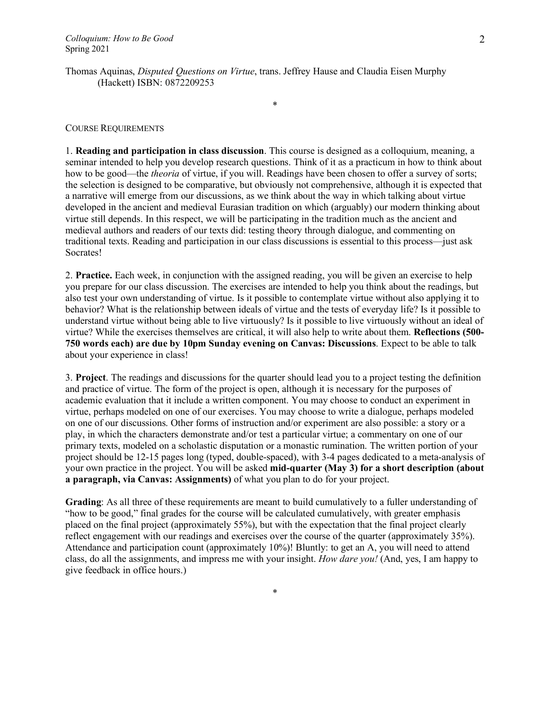Thomas Aquinas, *Disputed Questions on Virtue*, trans. Jeffrey Hause and Claudia Eisen Murphy (Hackett) ISBN: 0872209253

#### COURSE REQUIREMENTS

1. **Reading and participation in class discussion**. This course is designed as a colloquium, meaning, a seminar intended to help you develop research questions. Think of it as a practicum in how to think about how to be good—the *theoria* of virtue, if you will. Readings have been chosen to offer a survey of sorts; the selection is designed to be comparative, but obviously not comprehensive, although it is expected that a narrative will emerge from our discussions, as we think about the way in which talking about virtue developed in the ancient and medieval Eurasian tradition on which (arguably) our modern thinking about virtue still depends. In this respect, we will be participating in the tradition much as the ancient and medieval authors and readers of our texts did: testing theory through dialogue, and commenting on traditional texts. Reading and participation in our class discussions is essential to this process—just ask Socrates!

\*

2. **Practice.** Each week, in conjunction with the assigned reading, you will be given an exercise to help you prepare for our class discussion. The exercises are intended to help you think about the readings, but also test your own understanding of virtue. Is it possible to contemplate virtue without also applying it to behavior? What is the relationship between ideals of virtue and the tests of everyday life? Is it possible to understand virtue without being able to live virtuously? Is it possible to live virtuously without an ideal of virtue? While the exercises themselves are critical, it will also help to write about them. **Reflections (500- 750 words each) are due by 10pm Sunday evening on Canvas: Discussions**. Expect to be able to talk about your experience in class!

3. **Project**. The readings and discussions for the quarter should lead you to a project testing the definition and practice of virtue. The form of the project is open, although it is necessary for the purposes of academic evaluation that it include a written component. You may choose to conduct an experiment in virtue, perhaps modeled on one of our exercises. You may choose to write a dialogue, perhaps modeled on one of our discussions. Other forms of instruction and/or experiment are also possible: a story or a play, in which the characters demonstrate and/or test a particular virtue; a commentary on one of our primary texts, modeled on a scholastic disputation or a monastic rumination. The written portion of your project should be 12-15 pages long (typed, double-spaced), with 3-4 pages dedicated to a meta-analysis of your own practice in the project. You will be asked **mid-quarter (May 3) for a short description (about a paragraph, via Canvas: Assignments)** of what you plan to do for your project.

**Grading**: As all three of these requirements are meant to build cumulatively to a fuller understanding of "how to be good," final grades for the course will be calculated cumulatively, with greater emphasis placed on the final project (approximately 55%), but with the expectation that the final project clearly reflect engagement with our readings and exercises over the course of the quarter (approximately 35%). Attendance and participation count (approximately 10%)! Bluntly: to get an A, you will need to attend class, do all the assignments, and impress me with your insight. *How dare you!* (And, yes, I am happy to give feedback in office hours.)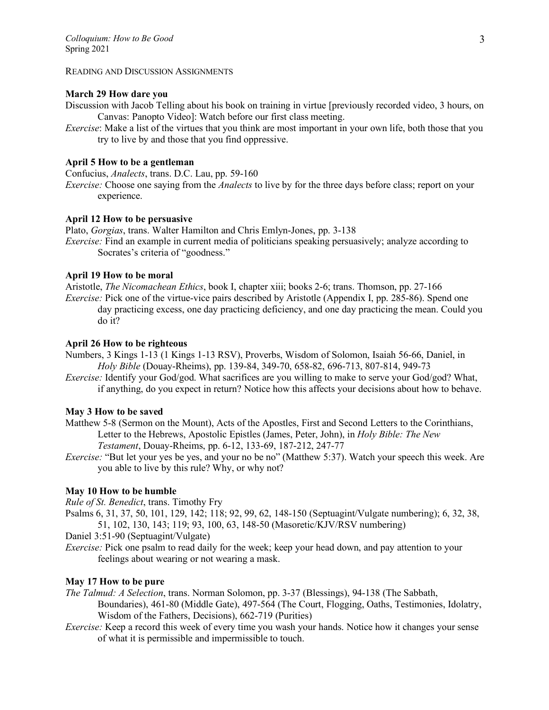#### READING AND DISCUSSION ASSIGNMENTS

### **March 29 How dare you**

Discussion with Jacob Telling about his book on training in virtue [previously recorded video, 3 hours, on Canvas: Panopto Video]: Watch before our first class meeting.

*Exercise*: Make a list of the virtues that you think are most important in your own life, both those that you try to live by and those that you find oppressive.

# **April 5 How to be a gentleman**

Confucius, *Analects*, trans. D.C. Lau, pp. 59-160

*Exercise:* Choose one saying from the *Analects* to live by for the three days before class; report on your experience.

## **April 12 How to be persuasive**

Plato, *Gorgias*, trans. Walter Hamilton and Chris Emlyn-Jones, pp. 3-138

*Exercise:* Find an example in current media of politicians speaking persuasively; analyze according to Socrates's criteria of "goodness."

## **April 19 How to be moral**

Aristotle, *The Nicomachean Ethics*, book I, chapter xiii; books 2-6; trans. Thomson, pp. 27-166 *Exercise:* Pick one of the virtue-vice pairs described by Aristotle (Appendix I, pp. 285-86). Spend one day practicing excess, one day practicing deficiency, and one day practicing the mean. Could you do it?

### **April 26 How to be righteous**

Numbers, 3 Kings 1-13 (1 Kings 1-13 RSV), Proverbs, Wisdom of Solomon, Isaiah 56-66, Daniel, in *Holy Bible* (Douay-Rheims), pp. 139-84, 349-70, 658-82, 696-713, 807-814, 949-73

*Exercise:* Identify your God/god. What sacrifices are you willing to make to serve your God/god? What, if anything, do you expect in return? Notice how this affects your decisions about how to behave.

# **May 3 How to be saved**

- Matthew 5-8 (Sermon on the Mount), Acts of the Apostles, First and Second Letters to the Corinthians, Letter to the Hebrews, Apostolic Epistles (James, Peter, John), in *Holy Bible: The New Testament*, Douay-Rheims, pp. 6-12, 133-69, 187-212, 247-77
- *Exercise:* "But let your yes be yes, and your no be no" (Matthew 5:37). Watch your speech this week. Are you able to live by this rule? Why, or why not?

# **May 10 How to be humble**

*Rule of St. Benedict*, trans. Timothy Fry

Psalms 6, 31, 37, 50, 101, 129, 142; 118; 92, 99, 62, 148-150 (Septuagint/Vulgate numbering); 6, 32, 38, 51, 102, 130, 143; 119; 93, 100, 63, 148-50 (Masoretic/KJV/RSV numbering)

Daniel 3:51-90 (Septuagint/Vulgate)

*Exercise:* Pick one psalm to read daily for the week; keep your head down, and pay attention to your feelings about wearing or not wearing a mask.

# **May 17 How to be pure**

*The Talmud: A Selection*, trans. Norman Solomon, pp. 3-37 (Blessings), 94-138 (The Sabbath, Boundaries), 461-80 (Middle Gate), 497-564 (The Court, Flogging, Oaths, Testimonies, Idolatry, Wisdom of the Fathers, Decisions), 662-719 (Purities)

*Exercise:* Keep a record this week of every time you wash your hands. Notice how it changes your sense of what it is permissible and impermissible to touch.